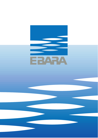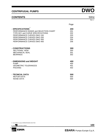### **CONTENTS** 50Hz

|                                          | Page |
|------------------------------------------|------|
| - SPECIFICATIONS                         | 200  |
| PERFORMANCE RANGE and SELECTION CHART    | 201  |
| <b>TYPE KEY and CURVE SPECIFICATIONS</b> | 202  |
| PERFORMANCE CURVES DWO 150               | 203  |
| PERFORMANCE CURVES DWO 200               | 204  |
| PERFORMANCE CURVES DWO 300               | 205  |
| PERFORMANCE CURVES DWO 400               | 206  |
| - CONSTRUCTIONS                          | 300  |
| <b>SECTIONAL VIEW</b>                    | 300  |
| <b>MECHANICAL SEAL</b>                   | 301  |
| <b>BEARINGS</b>                          | 302  |
| - DIMENSIONS and WEIGHT                  | 400  |
| <b>PUMP</b>                              | 400  |
| <b>GEOMETRIC TOLERANCES</b>              | 401  |
| <b>PACKING</b>                           | 402  |
| - TECNICAL DATA                          | 500  |
| <b>MOTOR DATA</b>                        | 500  |
| <b>NOISE DATA</b>                        | 500  |

① click INDEX to jump CORRESPONDING SECTION

2 click solution to go back to INDEX



**100** 

Rev. I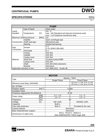# <span id="page-2-0"></span>**SPECIFICATIONS** 50Hz

Rev. L

|                             |                          |       | <b>PUMP</b>                                     |  |  |  |  |
|-----------------------------|--------------------------|-------|-------------------------------------------------|--|--|--|--|
|                             | Type of liquid           |       | Clean water                                     |  |  |  |  |
| Liquid                      |                          |       | $min. -5$                                       |  |  |  |  |
| Handled                     | Temperature              | [C]   | max. +90 (Standard and Special mechanical seal) |  |  |  |  |
|                             |                          |       | max. +110 (Optional mechanical seal)            |  |  |  |  |
|                             | Maximum working pressure | [MPa] | 0,8                                             |  |  |  |  |
|                             | Impeller                 |       | Open centrifugal type                           |  |  |  |  |
| Construction                | Shaft seal type          |       | Mechanical seal                                 |  |  |  |  |
|                             | <b>Bearing</b>           |       | Sealed ball bearing                             |  |  |  |  |
|                             | Suction                  |       | G <sub>2</sub>                                  |  |  |  |  |
| Pipe<br>Connection          |                          |       | G 2 <sup>1</sup> / <sub>2</sub> (DWO 300-400)   |  |  |  |  |
|                             | Discharge                |       | G <sub>2</sub>                                  |  |  |  |  |
|                             | Casing                   |       | <b>AISI 304</b>                                 |  |  |  |  |
|                             | Impeller                 |       | <b>AISI 304</b>                                 |  |  |  |  |
|                             | Casing cover             |       | <b>AISI 304</b>                                 |  |  |  |  |
| Material                    | Shaft seal               |       | Ceramic/Carbon/NBR                              |  |  |  |  |
|                             | Casing cover             |       | <b>AISI 304</b>                                 |  |  |  |  |
|                             | Shaft                    |       | AISI 304 (Wet extension)                        |  |  |  |  |
|                             | <b>Bracket</b>           |       | Aluminium                                       |  |  |  |  |
| Applicable standard of test |                          |       | ISO 9906:2012 - Grade 3B                        |  |  |  |  |

|                                   |                          | <b>MOTOR</b>                                               |                                                              |  |  |  |
|-----------------------------------|--------------------------|------------------------------------------------------------|--------------------------------------------------------------|--|--|--|
|                                   |                          |                                                            | Electric - TEFC                                              |  |  |  |
| Type                              |                          | Single Phase                                               | <b>Three Phase</b>                                           |  |  |  |
| Efficiency level (Reg. 640/2009)  |                          |                                                            | IE2 from 1.1 kW up to 3.0 kW<br>IE3 from 1.1 kW up to 3.0 kW |  |  |  |
| No. of Poles                      |                          | 2                                                          |                                                              |  |  |  |
| <b>Rotation speed</b>             | ${\sf Imin}^{\text{-1}}$ | $\approx 2800$                                             |                                                              |  |  |  |
| <b>Insulation Class</b>           |                          | F                                                          |                                                              |  |  |  |
| Protection degree(CEI EN 60034-5) |                          | IP 55                                                      |                                                              |  |  |  |
|                                   | [kW]                     | $1.1 \div 1.5$                                             | $1.1 \div 3$                                                 |  |  |  |
| Power rating                      | [HP]                     | $1.5 \div 2$                                               | $1.5 \div 4$                                                 |  |  |  |
| Frequency                         | [Hz]                     | 50                                                         |                                                              |  |  |  |
| Voltage                           | [V]                      | 230 ±10%                                                   | 230/400 ±10%                                                 |  |  |  |
| Capacitor                         |                          | <b>Built in</b>                                            |                                                              |  |  |  |
| Over load protection              |                          | <b>Built in</b>                                            | Provided by the user                                         |  |  |  |
| Casing material                   |                          | Aluminium                                                  |                                                              |  |  |  |
| Base material/motor support       |                          | Aluminium                                                  |                                                              |  |  |  |
| Dimensions of cable entry         |                          | PG11 - PG13.5 - M20x1.5<br>(See DIMENSIONS TABLE page 400) |                                                              |  |  |  |

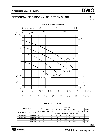### <span id="page-3-0"></span>**PERFORMANCE RANGE and SELECTION CHART 50Hz**

Rev. L



### **SELECTION CHART**

|                            | Pump type      |     | Power                 |                                   | Q=Capacity      |       |                  |      |                  |      |      |                |      |  |
|----------------------------|----------------|-----|-----------------------|-----------------------------------|-----------------|-------|------------------|------|------------------|------|------|----------------|------|--|
|                            |                |     |                       | <i>V</i> min                      | 0               | 100   | 200              | 300  | 400              | 550  | 750  | 950            | 1100 |  |
| Single Phase   Three Phase |                |     | $[kW]$   [HP] $m^3/h$ |                                   | 01              | 6     | 12               | 18   | 24               | 33   | 42   | 57             | 66   |  |
|                            |                |     |                       | H=Total manometric head in meters |                 |       |                  |      |                  |      |      |                |      |  |
| <b>DWO 150 M</b>           | <b>DWO 150</b> |     | 1,5                   |                                   | 9.8             | 9.5   | 8.9 <sub>l</sub> | 7.9I | 6.9 <sub>1</sub> | 5.1  |      | $\,$           | -    |  |
| <b>DWO 200 M</b>           | <b>DWO 200</b> | .5  | 2                     |                                   | 13,2            | 12.   | 12,3             | 11,5 | 10,5             | 8,6  | 5,8  | $\blacksquare$ |      |  |
|                            | <b>DWO 300</b> | 2.2 | 3                     |                                   | 15,5            | 15    | 14,5             | 13,8 | 12,9             |      | 9.7  | 7.5            | -    |  |
|                            | <b>DWO 400</b> | 3   |                       |                                   | 18 <sub>l</sub> | 17.5I | 16,9             | 16,3 | 15,6             | 14,3 | 12.4 | 9.8            | 7,6  |  |

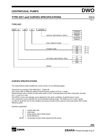## <span id="page-4-0"></span>**TYPE KEY and CURVES SPECIFICATIONS 50Hz**

Rev. L

### **TYPE KEY**



### **CURVES SPECIFICATIONS**

The specifications below qualify the curves shown on the following pages.

Tolerances according to ISO 9906:2012 - Grade 3B

The curves refer to effective speed of asynchronous motors at 50 Hz, 2 poles.

Measurements were carried out with clean water at 20°C of temperature and with a kinematic viscosity of  $v = 1$  mm<sup>2</sup>/s (1 cSt)

The NPSH curve is an average curve obtained in the same conditions of performance curves.

The continuous curves indicate the recommended working range. The dotted curve is only a guide. In order to avoid the risk of over-heating, the pumps should not be used at a flow rate below 10% of best efficiency point.

Symbols explanation:

- $Q =$  volume flow rate
- $H =$  total head
- $P_2$  = pump power input (shaft power)
- $\eta$  = pump efficiency
- $NPSH = net positive section head required by the pump$

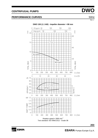**203** 



<span id="page-5-0"></span>**CENTRIFUGAL PUMPS DWO**

# **PERFORMANCE CURVES** 50Hz





Rev. L

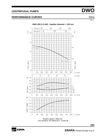

Rev. L

# <span id="page-6-0"></span>**CENTRIFUGAL PUMPS DWO**

# **PERFORMANCE CURVES** 50Hz





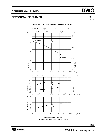Rev. L

# <span id="page-7-0"></span>**CENTRIFUGAL PUMPS DWO**

# **PERFORMANCE CURVES** 50Hz



Rotation speed ≈ 2800 min-1 Test standard: ISO 9906:2012 - Grade 3B

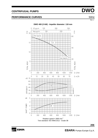# <span id="page-8-0"></span>**PERFORMANCE CURVES** 50Hz



**E** EBARA



Rev. L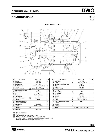## <span id="page-9-0"></span>**CONSTRUCTIONS** 50Hz

Rev. L

#### **SECTIONAL VIEW**



| N°   | <b>PART NAME</b>        |                | <b>MATERIAL</b>          | Q.TY |
|------|-------------------------|----------------|--------------------------|------|
| 1    | Casing                  |                | AISI 304                 |      |
| 3    | <b>Motor</b> bracket    |                | Aluminium                | 1    |
| 4    | Casing cover            |                | AISI 304                 |      |
| 6    | Shaft with rotor        |                | AISI 304 (Wet extention) |      |
| 7    | <b>Impeller</b>         |                | AISI 304                 | 1    |
| 11   | Mechanical seal         | $\overline{3}$ | Carbon/Ceramic/NBR       | 1    |
| 12 l | Motor frame with stator |                |                          | 1    |
| 13 I | Motorcover              |                | Aluminium                |      |
| 14   | Fan                     |                | РP                       |      |
| 15   | Fan cover               |                | Fe P04 Zncate            |      |
| 16   | Teminalbox              |                |                          |      |
| 17   | Terminal box cover      | 21             | Aluminium                | 1    |
| 18 I | Splash ring             |                | <b>NBR</b>               |      |
| 19   | Pump side ball bearing  |                |                          |      |
| 20   | Fan side ball bearing   |                |                          |      |
| 21   | Adjusting ring          |                | Steel C70                |      |
| 22   | Tie rod                 |                | Fe 420 Zincate           | 4    |
| 23   | Capacitor               | [1]            |                          |      |
|      | 24 Priming plug         |                | AISI 303                 |      |

| N°             | PART NAME                    |     | <b>MATERIAL</b>          | Q.TY | N° | PART NAME                     |     | <b>MATERIAL</b>             | Q.TY |
|----------------|------------------------------|-----|--------------------------|------|----|-------------------------------|-----|-----------------------------|------|
|                | Casing                       |     | AISI 304                 |      | 25 | Drain plug                    |     | AISI 303                    |      |
| 3              | Motorbracket                 |     | Aluminium                |      | 26 | $O$ -ring                     | [4] | NBR/FPM/EPDM                |      |
| 4              | Casing cover                 |     | AISI 304                 |      |    | 30 Mechanical seal protection |     | AISI 304                    |      |
| 6              | Shaft with rotor             |     | AISI 304 (Wet extention) |      |    | $32$ Key                      |     | AISI 316                    |      |
| $\overline{7}$ | Impeller                     |     | AISI 304                 |      |    | 34 Impeller nut               |     | AISI 304                    |      |
|                | 11   Mechanical se al        | ้31 | Carbon/Ceramic/NBR       |      | 42 | Motor support                 |     | Aluminium                   |      |
|                | 12 Motorframe with stator    |     |                          |      |    | 50   Spacer                   |     |                             |      |
|                | 13 Motor cover               |     | Aluminium                |      | 52 | Terminal box                  | [1] | <b>PP</b>                   |      |
|                | 14   Fan                     |     | PP                       |      |    | 56 Box gasket                 |     | <b>NBR</b>                  |      |
|                | 15 Fan cover                 |     | Fe P04 Zncate            |      | 75 | Washer                        |     | AISI 304                    |      |
|                | 16 Terminalbox               |     |                          |      | 76 | Washer                        |     | AISI 304                    |      |
|                | 17 Terminal box cover        | '21 | Aluminium                |      | 77 | $O$ -ring                     | [4] | NBR/FPM/EPDM                |      |
|                | 18 Splash ring               |     | <b>NBR</b>               |      | 78 | $O$ -ring                     | [4] | NBR/FPM/EPDM                |      |
|                | 19 $P$ ump side ball bearing |     |                          |      | 90 | Terminal box cover gasket     | [1] | <b>NBR</b>                  |      |
|                | 20 Fan side ball bearing     |     |                          |      | 92 | Lip seal                      |     |                             |      |
|                | 21 Adjusting ring            |     | Steel C70                |      |    | 93 Lip seal                   |     |                             |      |
|                | 22 Tie rod                   |     | Fe 420 Zincate           | 4    |    | 110 Protector                 | [1] |                             |      |
|                | 23 Capacitor                 | [1] |                          |      |    | 200 Screw                     |     | Stainless stee   A2 UNI7323 | 6    |
|                |                              |     |                          |      |    |                               |     |                             |      |

[1] Only for Single phase

[2] Only for Three phase

[1] Only for Single phase<br>[2] Only for Three phase<br>[3] See **MECHANICAL SEAL** pages 301, 302<br>[4] FPM for H-HS-HW-HSW-Q1AVGG (see pa

[4] FPM for H-HS-HW-HSW-Q1AVGG (see pages 301, 302) EPDM for AQ1EGG-VAEGG-Q1U3EGG-U3BEGG (see pages 301, 302) NBR only for Standard version (see pages 301, 302)

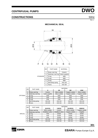## <span id="page-10-0"></span>**CONSTRUCTIONS** 50Hz

Rev. L

#### **MECHANICAL SEAL**



|          | <b>REF</b> | PART NAME            |                 | <b>MATERIAL</b> |                  |                  |  |
|----------|------------|----------------------|-----------------|-----------------|------------------|------------------|--|
|          |            |                      | н               | НS              | <b>HW</b>        | <b>HSW</b>       |  |
|          | A          | Rotary seal ring     | Ceramic         | Silicon carbide | ungsten carbide  | Silicon carbide  |  |
|          | в          | Stationary seal ring | Carbon graphite | Silicon carbide | Tungsten carbide | Tungsten carbide |  |
| OPTIONAL | C          | O-ring               | <b>FPM</b>      | <b>FPM</b>      | <b>FPM</b>       | <b>FPM</b>       |  |
|          | D          | O-ring               | <b>FPM</b>      | <b>FPM</b>      | <b>FPM</b>       | <b>FPM</b>       |  |
|          | E          | O-rina               | <b>FPM</b>      | <b>FPM</b>      | <b>FPM</b>       | <b>FPM</b>       |  |
|          | F          | Self driving spring  | AISI 316        | AISI 316        | AISI 316         | AISI 316         |  |
|          | G          | <b>IFrame</b>        | AISI 304        | AISI 316        | AISI 316         | AISI 316         |  |
|          |            |                      |                 |                 |                  |                  |  |

|                | <b>REF</b> | PART NAME            |                   | <b>MATERIAL</b>   |                  |                  |  |  |  |  |  |  |
|----------------|------------|----------------------|-------------------|-------------------|------------------|------------------|--|--|--|--|--|--|
| <b>SPECIAL</b> |            |                      | Q1AVGG            | <b>VAEGG</b>      | Q1U3EGG          | U3BEGG           |  |  |  |  |  |  |
|                | Α          | Rotary seal ring     | Silicon carbide   | Ceramic           | Silicon carbide  | Tungsten carbide |  |  |  |  |  |  |
|                | B          | Stationary seal ring | Metallized carbon | Metallized carbon | Tungsten carbide | Graphite         |  |  |  |  |  |  |
|                |            | O-ring               | <b>FPM</b>        | EPDM              | <b>EPDM</b>      | <b>EPDM</b>      |  |  |  |  |  |  |
|                | D          | O-ring               | <b>FPM</b>        | EPDM              | <b>EPDM</b>      | <b>EPDM</b>      |  |  |  |  |  |  |
|                | E          | O-ring               | <b>FPM</b>        | EPDM              | EPDM             | <b>EPDM</b>      |  |  |  |  |  |  |
|                |            | Self driving spring  | AISI 316          | AISI 316          | AISI 316         | AISI 316         |  |  |  |  |  |  |
|                | G          | <b>IFrame</b>        | AISI 316          | AISI 316          | AISI 316         | AISI 316         |  |  |  |  |  |  |

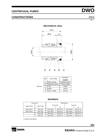## <span id="page-11-0"></span>**CONSTRUCTIONS** 50Hz

Rev. L

#### **MECHANICAL SEAL**



|                | <b>REF</b> | <b>PART NAME</b>     | <b>MATERIAL</b>   |
|----------------|------------|----------------------|-------------------|
|                |            |                      | AQ1EGG            |
|                | A          | Rotary seal ring     | Metallised carbon |
|                | В          | Stationary seal ring | Silicon carbide   |
| <b>SPECIAL</b> | C          | O-ring               | EPDM              |
|                | D          | <b>Bellows</b>       | EPDM              |
|                | E.         | Frame + spring       | AISI 316          |

#### **BEARINGS**

| Pump type        |                | <b>Ball Bearing</b> |            |           |            |  |  |  |
|------------------|----------------|---------------------|------------|-----------|------------|--|--|--|
| Single Phase     | Three Phase    |                     | Pump side  | Fan side  |            |  |  |  |
|                  |                |                     | (*)        |           | (*)        |  |  |  |
| <b>DWO 150 M</b> | <b>DWO 150</b> | 6204 2RSH           | 6204-ZZ C3 | 6203 2RSH | 6203-ZZ C3 |  |  |  |
| <b>DWO 200 M</b> | DWO 200        | 6204 2RSH           | 6204-ZZ C3 | 6203 2RSH | 6203-ZZ C3 |  |  |  |
|                  | DWO 300        | 6305 2RSH           | 6305-ZZ C3 | 6205 2RSH | 6205-ZZ C3 |  |  |  |
| -                | DWO 400        | 6305 2RSH           | 6305-ZZ C3 | 6205 2RSH | 6205-ZZ C3 |  |  |  |

(\*) Only for IE3 Motors

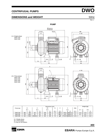### <span id="page-12-0"></span>**DIMENSIONS and WEIGHT 1999 120 SOME 2014 12:00 12:00 SOME 2014 2014 12:00 12:00 12:00 12:00 12:00 12:00 12:00 12:00 12:00 12:00 12:00 12:00 12:00 12:00 12:00 12:00 12:00 12:00 12:00 12:00 12:00 12:00 12:00 12:00 12:00 12:**



|                |                         |               |         | Weight [kgf] |     |                 |        |       |             |                 |                |      |       |                              |  |
|----------------|-------------------------|---------------|---------|--------------|-----|-----------------|--------|-------|-------------|-----------------|----------------|------|-------|------------------------------|--|
| Pump type      |                         | В             | $\sim$  |              | H3  |                 |        | D     |             |                 | <b>DNA</b>     |      |       |                              |  |
|                | $\mathsf{I3-}$<br>$[3-$ |               |         | $[3-]$       |     |                 |        | $13-$ |             |                 |                |      | $1 -$ | $\mathsf{I3}\sim$            |  |
|                |                         | $\rightarrow$ |         |              |     | $^{\prime\ast}$ | $13 -$ | $13-$ |             | $^{\prime\ast}$ | $13-$          |      |       | $\left  \star \right\rangle$ |  |
| <b>DWO 150</b> | 365                     | 390           | 197     | 197          | 239 | 239             | 74     | 062,5 | PG11        | M20x1.5         | G 2            | 14.4 | 14.5  | 15,4                         |  |
| <b>DWO 200</b> | 378                     | 390,5         | 197     | 197          | 239 | 239             | 74     | 062,5 | <b>PG11</b> | M20x1.5         | G <sub>2</sub> | 15,7 | 16,2  | 17.1                         |  |
| <b>DWO 300</b> | 416                     | 394.5         | 230/241 | 197          | 244 | 239             | 78     | Ø80   |             | PG13.5 M20x1.5  | $G2$ %         |      | 19,4  | 19,4                         |  |

[1~] Single phase

[3~] Three phase

(\*) Only for IE3 Motors



**EBARA** Pumps Europe S.p.A.

**400** 

Rev. L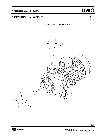### <span id="page-13-0"></span>**DIMENSIONS and WEIGHT** 50Hz

Rev. L

### **GEOMETRIC TOLERANCES**

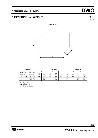## <span id="page-14-0"></span>**DIMENSIONS and WEIGHT 1999 120 SOME 2014 12:00 12:00 FM 2014 12:00 12:00 FM 2014 12:00 12:00 FM 2014 12:00 FM 2014 12:00 FM 2014 12:00 FM 2014 12:00 FM 2014 12:00 FM 2014 12:00 FM 2014 12:00 FM 2014 12:00 FM 2014 12:00 FM**

Rev. L

### **PACKING**



| Pump type    |                |         |      | Packing [mm] | Weight [kgf]      |                          |           |        |      |       |
|--------------|----------------|---------|------|--------------|-------------------|--------------------------|-----------|--------|------|-------|
| Single Phase | Three Phase    |         |      |              |                   |                          |           | $[1 -$ | [3~] |       |
|              |                | $1 - 1$ | [3~] | [1~]         | $\left[3-\right]$ | 11~                      | $[3 - j]$ |        |      | $(*)$ |
| DWO 150 M    | <b>DWO 150</b> | 205     | 205  | 280          | 280               | 432                      | 432       | 15.3   | 15.3 | 16.2  |
| DWO 200 M    | <b>DWO 200</b> | 205     | 205  | 280          | 280               | 432                      | 477       | 16.5   | 17   | 17.9  |
|              | <b>DWO 300</b> |         | 205  |              | 280               | $\overline{\phantom{a}}$ | 477       |        | 20.3 | 20.3  |
| -            | <b>DWO 400</b> | -       | 205  |              | 280               | $\,$                     | 477       |        | 23.2 | 23.2  |

[1**~**] Single phase [3**~**] Three phase (\*) Only for IE3 Motors

**SE EBARA**